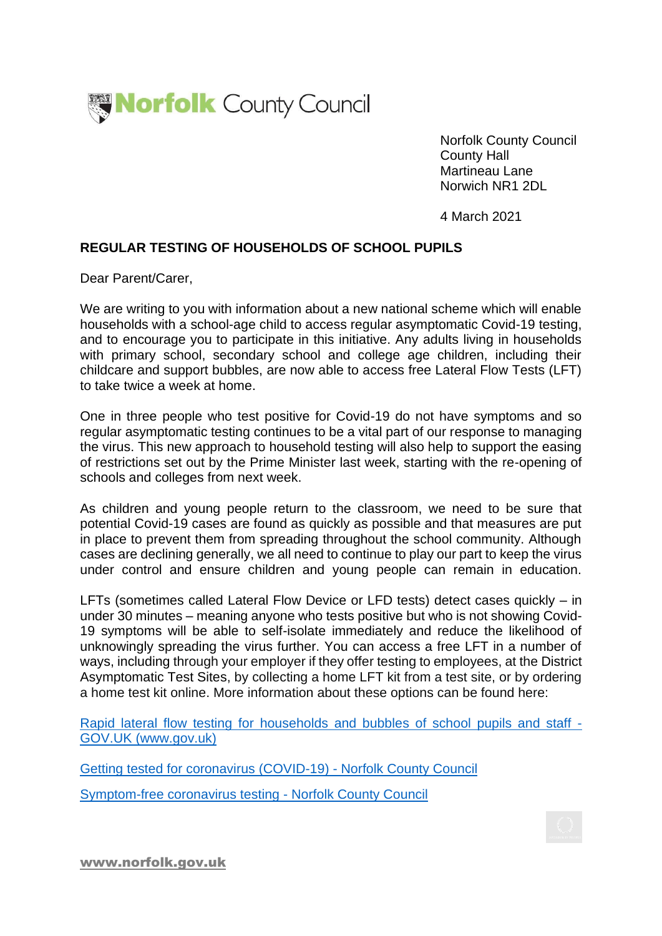

Norfolk County Council County Hall Martineau Lane Norwich NR1 2DL

4 March 2021

## **REGULAR TESTING OF HOUSEHOLDS OF SCHOOL PUPILS**

Dear Parent/Carer,

We are writing to you with information about a new national scheme which will enable households with a school-age child to access regular asymptomatic Covid-19 testing, and to encourage you to participate in this initiative. Any adults living in households with primary school, secondary school and college age children, including their childcare and support bubbles, are now able to access free Lateral Flow Tests (LFT) to take twice a week at home.

One in three people who test positive for Covid-19 do not have symptoms and so regular asymptomatic testing continues to be a vital part of our response to managing the virus. This new approach to household testing will also help to support the easing of restrictions set out by the Prime Minister last week, starting with the re-opening of schools and colleges from next week.

As children and young people return to the classroom, we need to be sure that potential Covid-19 cases are found as quickly as possible and that measures are put in place to prevent them from spreading throughout the school community. Although cases are declining generally, we all need to continue to play our part to keep the virus under control and ensure children and young people can remain in education.

LFTs (sometimes called Lateral Flow Device or LFD tests) detect cases quickly – in under 30 minutes – meaning anyone who tests positive but who is not showing Covid-19 symptoms will be able to self-isolate immediately and reduce the likelihood of unknowingly spreading the virus further. You can access a free LFT in a number of ways, including through your employer if they offer testing to employees, at the District Asymptomatic Test Sites, by collecting a home LFT kit from a test site, or by ordering a home test kit online. More information about these options can be found here:

[Rapid lateral flow testing for households and bubbles of school pupils and staff -](https://www.gov.uk/guidance/rapid-lateral-flow-testing-for-households-and-bubbles-of-school-pupils-and-staff) GOV.UK (www.gov.uk)

[Getting tested for coronavirus \(COVID-19\) -](https://www.norfolk.gov.uk/care-support-and-health/health-and-wellbeing/adults-health/coronavirus/testing) Norfolk County Council [Symptom-free coronavirus testing -](https://www.norfolk.gov.uk/care-support-and-health/health-and-wellbeing/adults-health/coronavirus/testing/symptom-free-testing) Norfolk County Council